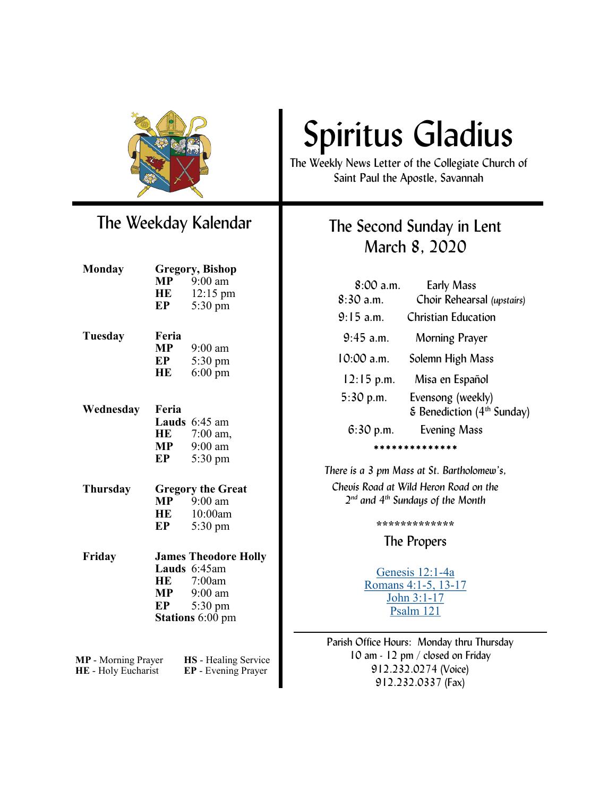

## The Weekday Kalendar

| Monday                     |                          | <b>Gregory, Bishop</b>       |
|----------------------------|--------------------------|------------------------------|
|                            |                          | $MP$ 9:00 am                 |
|                            | HE                       | 12:15 pm                     |
|                            | EP                       | 5:30 pm                      |
|                            |                          |                              |
| Tuesday                    | Feria<br><b>MP</b>       | $9:00$ am                    |
|                            | EP                       |                              |
|                            | HE                       | 5:30 pm<br>$6:00 \text{ pm}$ |
|                            |                          |                              |
| Wednesday                  | Feria                    |                              |
|                            |                          | Lauds 6:45 am                |
|                            |                          | HE 7:00 am,                  |
|                            |                          | $MP$ 9:00 am                 |
|                            | EP                       | 5:30 pm                      |
| Thursday                   | <b>Gregory the Great</b> |                              |
|                            | MP                       | $9:00 \text{ am}$            |
|                            | HE                       | $10:00$ am                   |
|                            | EP                       | 5:30 pm                      |
| Friday                     |                          | <b>James Theodore Holly</b>  |
|                            |                          | Lauds 6:45am                 |
|                            | HE                       | 7:00am                       |
|                            | MP                       | $9:00$ am                    |
|                            | EP                       | 5:30 pm                      |
|                            |                          | Stations 6:00 pm             |
|                            |                          |                              |
|                            |                          |                              |
| MP - Morning Prayer        |                          | HS - Healing Service         |
| <b>HE</b> - Holy Eucharist |                          | EP - Evening Prayer          |

# Spiritus Gladius

The Weekly News Letter of the Collegiate Church of Saint Paul the Apostle, Savannah

### The Second Sunday in Lent March 8, 2020

| $8:00$ a.m.         | <b>Early Mass</b>                               |  |  |
|---------------------|-------------------------------------------------|--|--|
| 8:30a.m.            | Choir Rehearsal (upstairs)                      |  |  |
| $9:15$ a.m.         | Christian Education                             |  |  |
| $9:45$ a.m.         | Morning Prayer                                  |  |  |
| 10:00 a.m.          | Solemn High Mass                                |  |  |
| $12:15$ p.m.        | Misa en Español                                 |  |  |
| $5:30$ p.m.         | Evensong (weekly)                               |  |  |
|                     | $\epsilon$ Benediction (4 <sup>th</sup> Sunday) |  |  |
| $6:30$ p.m.         | <b>Evening Mass</b>                             |  |  |
| * * * * * * * * * * |                                                 |  |  |

*There is a 3 pm Mass at St. Bartholomew's, Chevis Road at Wild Heron Road on the 2 nd and 4th Sundays of the Month*

**\*\*\*\*\*\*\*\*\*\*\*\*\***

The Propers

[Genesis 12:1](https://www.lectionarypage.net/YearA_RCL/Lent/ALent2_RCL.html#ot1)-4a [Romans 4:1](https://www.lectionarypage.net/YearA_RCL/Lent/ALent2_RCL.html#nt1)-5, 13-17 [John 3:1](https://www.lectionarypage.net/YearA_RCL/Lent/ALent2_RCL.html#gsp1)-17 [Psalm 121](https://www.lectionarypage.net/YearA_RCL/Lent/ALent2_RCL.html#ps1)

Parish Office Hours: Monday thru Thursday 10 am - 12 pm / closed on Friday 912.232.0274 (Voice) 912.232.0337 (Fax)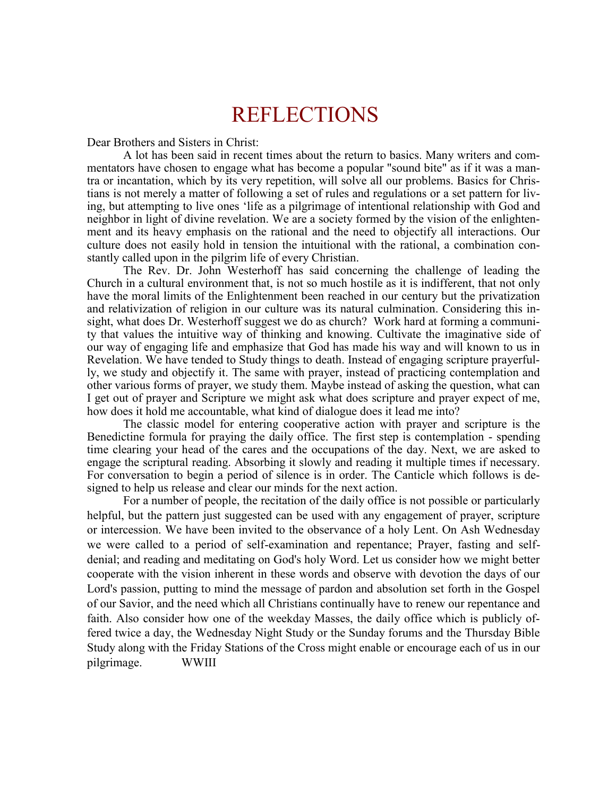## REFLECTIONS

Dear Brothers and Sisters in Christ:

A lot has been said in recent times about the return to basics. Many writers and commentators have chosen to engage what has become a popular "sound bite" as if it was a mantra or incantation, which by its very repetition, will solve all our problems. Basics for Christians is not merely a matter of following a set of rules and regulations or a set pattern for living, but attempting to live ones 'life as a pilgrimage of intentional relationship with God and neighbor in light of divine revelation. We are a society formed by the vision of the enlightenment and its heavy emphasis on the rational and the need to objectify all interactions. Our culture does not easily hold in tension the intuitional with the rational, a combination constantly called upon in the pilgrim life of every Christian.

The Rev. Dr. John Westerhoff has said concerning the challenge of leading the Church in a cultural environment that, is not so much hostile as it is indifferent, that not only have the moral limits of the Enlightenment been reached in our century but the privatization and relativization of religion in our culture was its natural culmination. Considering this insight, what does Dr. Westerhoff suggest we do as church? Work hard at forming a community that values the intuitive way of thinking and knowing. Cultivate the imaginative side of our way of engaging life and emphasize that God has made his way and will known to us in Revelation. We have tended to Study things to death. Instead of engaging scripture prayerfully, we study and objectify it. The same with prayer, instead of practicing contemplation and other various forms of prayer, we study them. Maybe instead of asking the question, what can I get out of prayer and Scripture we might ask what does scripture and prayer expect of me, how does it hold me accountable, what kind of dialogue does it lead me into?

The classic model for entering cooperative action with prayer and scripture is the Benedictine formula for praying the daily office. The first step is contemplation - spending time clearing your head of the cares and the occupations of the day. Next, we are asked to engage the scriptural reading. Absorbing it slowly and reading it multiple times if necessary. For conversation to begin a period of silence is in order. The Canticle which follows is designed to help us release and clear our minds for the next action.

For a number of people, the recitation of the daily office is not possible or particularly helpful, but the pattern just suggested can be used with any engagement of prayer, scripture or intercession. We have been invited to the observance of a holy Lent. On Ash Wednesday we were called to a period of self-examination and repentance; Prayer, fasting and selfdenial; and reading and meditating on God's holy Word. Let us consider how we might better cooperate with the vision inherent in these words and observe with devotion the days of our Lord's passion, putting to mind the message of pardon and absolution set forth in the Gospel of our Savior, and the need which all Christians continually have to renew our repentance and faith. Also consider how one of the weekday Masses, the daily office which is publicly offered twice a day, the Wednesday Night Study or the Sunday forums and the Thursday Bible Study along with the Friday Stations of the Cross might enable or encourage each of us in our pilgrimage. WWIII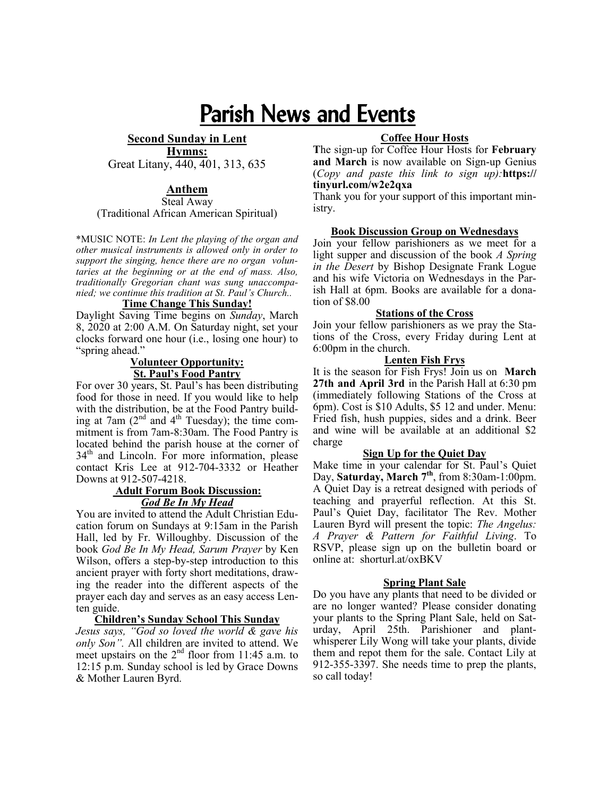## Parish News and Events

**Second Sunday in Lent Hymns:** 

Great Litany, 440, 401, 313, 635

#### **Anthem**

Steal Away (Traditional African American Spiritual)

\*MUSIC NOTE: *In Lent the playing of the organ and other musical instruments is allowed only in order to support the singing, hence there are no organ voluntaries at the beginning or at the end of mass. Also, traditionally Gregorian chant was sung unaccompanied; we continue this tradition at St. Paul's Church..* 

#### **Time Change This Sunday!**

Daylight Saving Time begins on *Sunday*, March 8, 2020 at 2:00 A.M. On Saturday night, set your clocks forward one hour (i.e., losing one hour) to "spring ahead."

#### **Volunteer Opportunity: St. Paul's Food Pantry**

For over 30 years, St. Paul's has been distributing food for those in need. If you would like to help with the distribution, be at the Food Pantry building at 7am  $(2<sup>nd</sup>$  and  $4<sup>th</sup>$  Tuesday); the time commitment is from 7am-8:30am. The Food Pantry is located behind the parish house at the corner of  $34<sup>th</sup>$  and Lincoln. For more information, please contact Kris Lee at 912-704-3332 or Heather Downs at 912-507-4218.

#### **Adult Forum Book Discussion:**  *God Be In My Head*

You are invited to attend the Adult Christian Education forum on Sundays at 9:15am in the Parish Hall, led by Fr. Willoughby. Discussion of the book *God Be In My Head, Sarum Prayer* by Ken Wilson, offers a step-by-step introduction to this ancient prayer with forty short meditations, drawing the reader into the different aspects of the prayer each day and serves as an easy access Lenten guide.

#### **Children's Sunday School This Sunday**

*Jesus says, "God so loved the world & gave his only Son".* All children are invited to attend. We meet upstairs on the  $2<sup>nd</sup>$  floor from 11:45 a.m. to 12:15 p.m. Sunday school is led by Grace Downs & Mother Lauren Byrd.

#### **Coffee Hour Hosts**

**T**he sign-up for Coffee Hour Hosts for **February and March** is now available on Sign-up Genius (*Copy and paste this link to sign up):***https:// tinyurl.com/w2e2qxa**

Thank you for your support of this important ministry.

#### **Book Discussion Group on Wednesdays**

Join your fellow parishioners as we meet for a light supper and discussion of the book *A Spring in the Desert* by Bishop Designate Frank Logue and his wife Victoria on Wednesdays in the Parish Hall at 6pm. Books are available for a donation of \$8.00

#### **Stations of the Cross**

Join your fellow parishioners as we pray the Stations of the Cross, every Friday during Lent at 6:00pm in the church.

#### **Lenten Fish Frys**

It is the season for Fish Frys! Join us on **March 27th and April 3rd** in the Parish Hall at 6:30 pm (immediately following Stations of the Cross at 6pm). Cost is \$10 Adults, \$5 12 and under. Menu: Fried fish, hush puppies, sides and a drink. Beer and wine will be available at an additional \$2 charge

#### **Sign Up for the Quiet Day**

Make time in your calendar for St. Paul's Quiet Day, Saturday, March 7<sup>th</sup>, from 8:30am-1:00pm. A Quiet Day is a retreat designed with periods of teaching and prayerful reflection. At this St. Paul's Quiet Day, facilitator The Rev. Mother Lauren Byrd will present the topic: *The Angelus: A Prayer & Pattern for Faithful Living*. To RSVP, please sign up on the bulletin board or online at: shorturl.at/oxBKV

#### **Spring Plant Sale**

Do you have any plants that need to be divided or are no longer wanted? Please consider donating your plants to the Spring Plant Sale, held on Saturday, April 25th. Parishioner and plantwhisperer Lily Wong will take your plants, divide them and repot them for the sale. Contact Lily at 912-355-3397. She needs time to prep the plants, so call today!